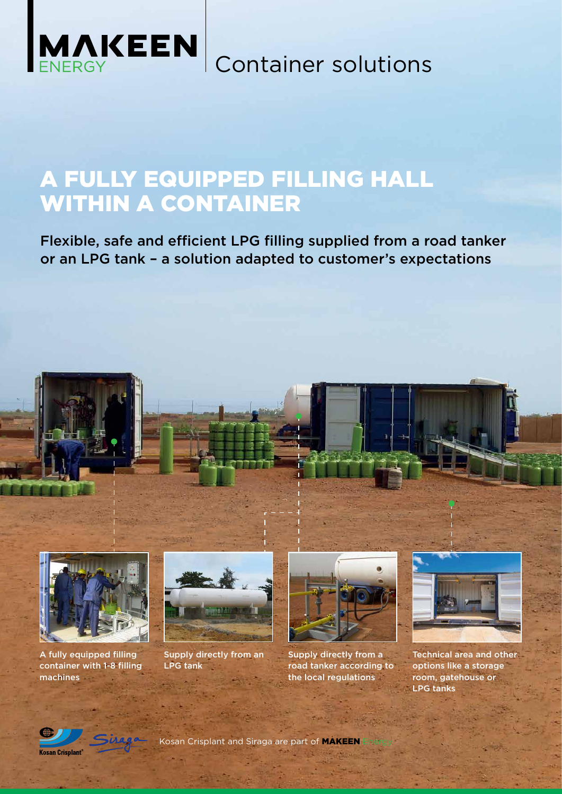

Container solutions

### A FULLY EQUIPPED FILLING HALL WITHIN A CONTAINER

Flexible, safe and efficient LPG filling supplied from a road tanker or an LPG tank – a solution adapted to customer's expectations





A fully equipped filling container with 1-8 filling machines



Supply directly from an LPG tank



Supply directly from a road tanker according to the local regulations



Technical area and other options like a storage room, gatehouse or LPG tanks

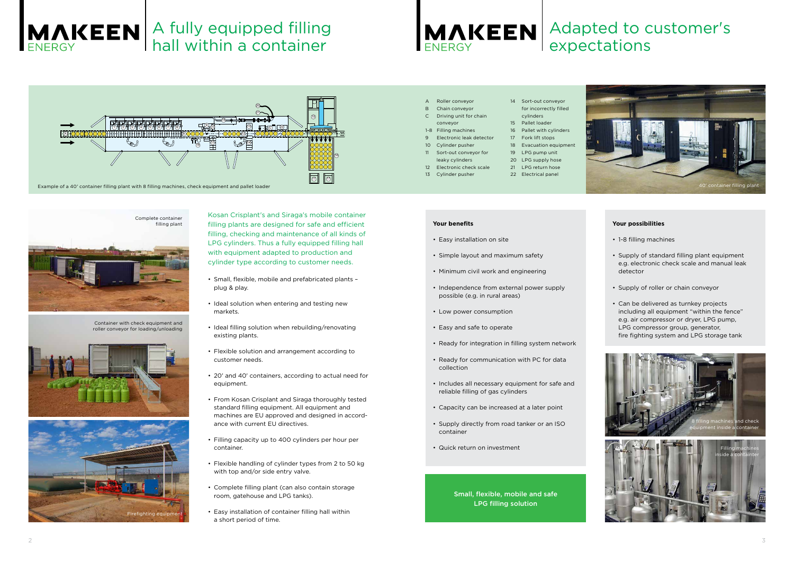### Small, flexible, mobile and safe LPG filling solution

#### **Your benefits**

- Easy installation on site
- Simple layout and maximum safety
- Minimum civil work and engineering
- Independence from external power supply possible (e.g. in rural areas)
- Low power consumption
- Easy and safe to operate
- Ready for integration in filling system network
- Ready for communication with PC for data collection
- Includes all necessary equipment for safe and reliable filling of gas cylinders
- Capacity can be increased at a later point
- Supply directly from road tanker or an ISO container
- Quick return on investment

#### **Your possibilities**

- 1-8 filling machines
- Supply of standard filling plant equipment e.g. electronic check scale and manual leak detector
- Supply of roller or chain conveyor
- Can be delivered as turnkey projects including all equipment "within the fence" e.g. air compressor or dryer, LPG pump, LPG compressor group, generator, fire fighting system and LPG storage tank

Kosan Crisplant's and Siraga's mobile container filling plants are designed for safe and efficient filling, checking and maintenance of all kinds of LPG cylinders. Thus a fully equipped filling hall with equipment adapted to production and cylinder type according to customer needs.



- Small, flexible, mobile and prefabricated plants plug & play.
- Ideal solution when entering and testing new markets.
- Ideal filling solution when rebuilding/renovating existing plants.
- Flexible solution and arrangement according to customer needs.
- 20' and 40' containers, according to actual need for equipment.
- From Kosan Crisplant and Siraga thoroughly tested standard filling equipment. All equipment and machines are EU approved and designed in accordance with current EU directives.
- Filling capacity up to 400 cylinders per hour per container.
- Flexible handling of cylinder types from 2 to 50 kg with top and/or side entry valve.
- Complete filling plant (can also contain storage room, gatehouse and LPG tanks).
- Easy installation of container filling hall within a short period of time.





Container with check equipment and roller conveyor for loading/unloading





| A | Roller convevor          |  |
|---|--------------------------|--|
|   | <b>B</b> Chain convevor  |  |
|   | C Driving unit for chain |  |

- conveyor
- 1-8 Filling machines
- 9 Electronic leak detector
- Cylinder pusher
- Sort-out conveyor for
- leaky cylinders 12 Electronic check scale
- 13 Cylinder pusher
- 14 Sort-out conveyor for incorrectly filled cylinders
- 15 Pallet loader 16 Pallet with cylinders
- Fork lift stops
- 18 Evacuation equipment
- 19 LPG pump unit
- 20 LPG supply hose
- 21 LPG return hose
- 22 Electrical panel



## Adapted to customer's expectations



# A fully equipped filling hall within a container